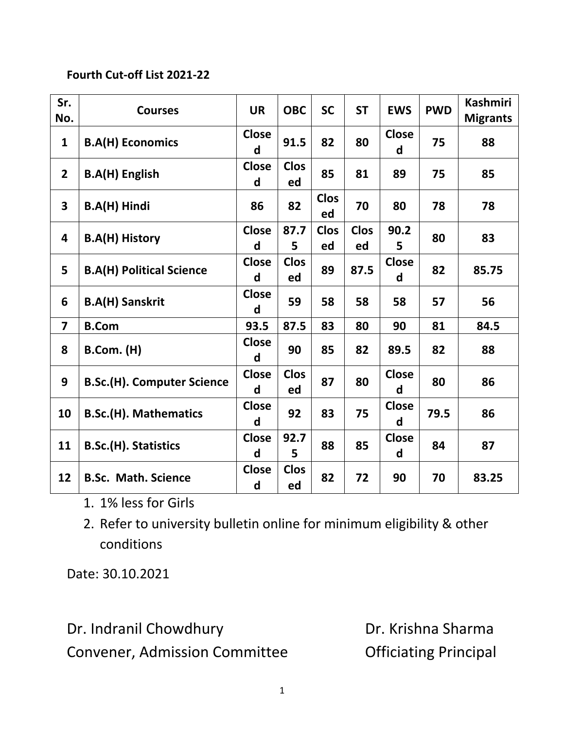## **Fourth Cut-off List 2021-22**

| Sr.<br>No.              | <b>Courses</b>                    | <b>UR</b>         | <b>OBC</b>        | <b>SC</b>         | <b>ST</b>         | <b>EWS</b>        | <b>PWD</b> | <b>Kashmiri</b><br><b>Migrants</b> |
|-------------------------|-----------------------------------|-------------------|-------------------|-------------------|-------------------|-------------------|------------|------------------------------------|
| $\mathbf{1}$            | <b>B.A(H) Economics</b>           | <b>Close</b><br>d | 91.5              | 82                | 80                | <b>Close</b><br>d | 75         | 88                                 |
| $\overline{2}$          | <b>B.A(H) English</b>             | <b>Close</b><br>d | <b>Clos</b><br>ed | 85                | 81                | 89                | 75         | 85                                 |
| $\overline{\mathbf{3}}$ | B.A(H) Hindi                      | 86                | 82                | <b>Clos</b><br>ed | 70                | 80                | 78         | 78                                 |
| 4                       | <b>B.A(H) History</b>             | <b>Close</b><br>d | 87.7<br>5         | <b>Clos</b><br>ed | <b>Clos</b><br>ed | 90.2<br>5         | 80         | 83                                 |
| 5 <sup>1</sup>          | <b>B.A(H) Political Science</b>   | <b>Close</b><br>d | <b>Clos</b><br>ed | 89                | 87.5              | <b>Close</b><br>d | 82         | 85.75                              |
| 6                       | <b>B.A(H) Sanskrit</b>            | <b>Close</b><br>d | 59                | 58                | 58                | 58                | 57         | 56                                 |
| $\overline{\mathbf{z}}$ | <b>B.Com</b>                      | 93.5              | 87.5              | 83                | 80                | 90                | 81         | 84.5                               |
| 8                       | <b>B.Com.</b> (H)                 | <b>Close</b><br>d | 90                | 85                | 82                | 89.5              | 82         | 88                                 |
| 9                       | <b>B.Sc.(H). Computer Science</b> | <b>Close</b><br>d | <b>Clos</b><br>ed | 87                | 80                | <b>Close</b><br>d | 80         | 86                                 |
| 10                      | <b>B.Sc.(H). Mathematics</b>      | <b>Close</b><br>d | 92                | 83                | 75                | <b>Close</b><br>d | 79.5       | 86                                 |
| 11                      | B.Sc.(H). Statistics              | <b>Close</b><br>d | 92.7<br>5         | 88                | 85                | <b>Close</b><br>d | 84         | 87                                 |
| 12                      | <b>B.Sc. Math. Science</b>        | <b>Close</b><br>d | <b>Clos</b><br>ed | 82                | 72                | 90                | 70         | 83.25                              |

- 1. 1% less for Girls
- 2. Refer to university bulletin online for minimum eligibility & other conditions

Date: 30.10.2021

Dr. Indranil Chowdhury **Dr. Krishna Sharma** Convener, Admission Committee **Conventugal** Convener, Admission Committee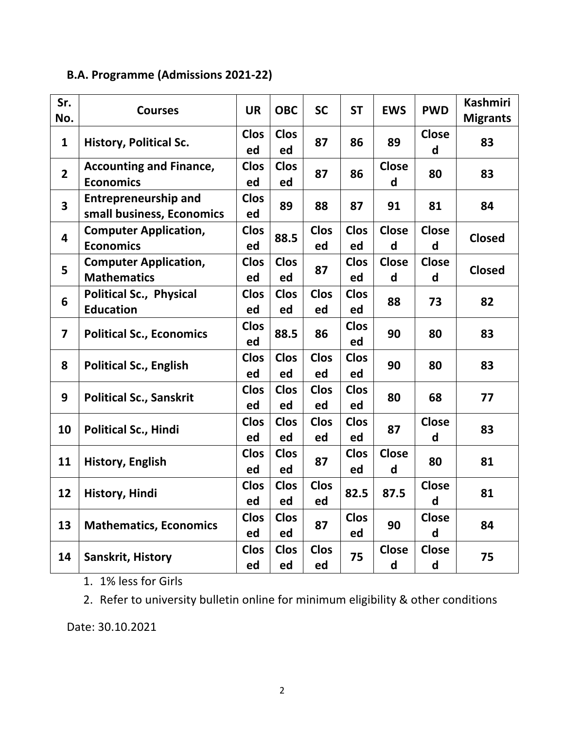## **B.A. Programme (Admissions 2021-22)**

| Sr.<br>No.              | <b>Courses</b>                                           | <b>UR</b>         | <b>OBC</b>        | <b>SC</b>         | <b>ST</b>         | <b>EWS</b>        | <b>PWD</b>        | <b>Kashmiri</b><br><b>Migrants</b> |
|-------------------------|----------------------------------------------------------|-------------------|-------------------|-------------------|-------------------|-------------------|-------------------|------------------------------------|
| $\mathbf{1}$            | <b>History, Political Sc.</b>                            | <b>Clos</b><br>ed | <b>Clos</b><br>ed | 87                | 86                | 89                | <b>Close</b><br>d | 83                                 |
| $\overline{2}$          | <b>Accounting and Finance,</b><br><b>Economics</b>       | <b>Clos</b><br>ed | <b>Clos</b><br>ed | 87                | 86                | <b>Close</b><br>d | 80                | 83                                 |
| $\overline{\mathbf{3}}$ | <b>Entrepreneurship and</b><br>small business, Economics | <b>Clos</b><br>ed | 89                | 88                | 87                | 91                | 81                | 84                                 |
| 4                       | <b>Computer Application,</b><br><b>Economics</b>         | <b>Clos</b><br>ed | 88.5              | <b>Clos</b><br>ed | <b>Clos</b><br>ed | <b>Close</b><br>d | <b>Close</b><br>d | <b>Closed</b>                      |
| 5                       | <b>Computer Application,</b><br><b>Mathematics</b>       | <b>Clos</b><br>ed | <b>Clos</b><br>ed | 87                | <b>Clos</b><br>ed | <b>Close</b><br>d | <b>Close</b><br>d | <b>Closed</b>                      |
| 6                       | <b>Political Sc., Physical</b><br><b>Education</b>       | <b>Clos</b><br>ed | <b>Clos</b><br>ed | <b>Clos</b><br>ed | <b>Clos</b><br>ed | 88                | 73                | 82                                 |
| $\overline{7}$          | <b>Political Sc., Economics</b>                          | <b>Clos</b><br>ed | 88.5              | 86                | <b>Clos</b><br>ed | 90                | 80                | 83                                 |
| 8                       | <b>Political Sc., English</b>                            | <b>Clos</b><br>ed | <b>Clos</b><br>ed | <b>Clos</b><br>ed | <b>Clos</b><br>ed | 90                | 80                | 83                                 |
| 9                       | <b>Political Sc., Sanskrit</b>                           | <b>Clos</b><br>ed | <b>Clos</b><br>ed | <b>Clos</b><br>ed | <b>Clos</b><br>ed | 80                | 68                | 77                                 |
| 10                      | <b>Political Sc., Hindi</b>                              | <b>Clos</b><br>ed | <b>Clos</b><br>ed | <b>Clos</b><br>ed | <b>Clos</b><br>ed | 87                | <b>Close</b><br>d | 83                                 |
| 11                      | <b>History, English</b>                                  | <b>Clos</b><br>ed | <b>Clos</b><br>ed | 87                | <b>Clos</b><br>ed | <b>Close</b><br>d | 80                | 81                                 |
| 12                      | <b>History, Hindi</b>                                    | <b>Clos</b><br>ed | <b>Clos</b><br>ed | <b>Clos</b><br>ed | 82.5              | 87.5              | <b>Close</b><br>d | 81                                 |
| 13                      | <b>Mathematics, Economics</b>                            | <b>Clos</b><br>ed | <b>Clos</b><br>ed | 87                | <b>Clos</b><br>ed | 90                | <b>Close</b><br>d | 84                                 |
| 14                      | Sanskrit, History                                        | <b>Clos</b><br>ed | <b>Clos</b><br>ed | <b>Clos</b><br>ed | 75                | <b>Close</b><br>d | <b>Close</b><br>d | 75                                 |

1. 1% less for Girls

2. Refer to university bulletin online for minimum eligibility & other conditions

Date: 30.10.2021